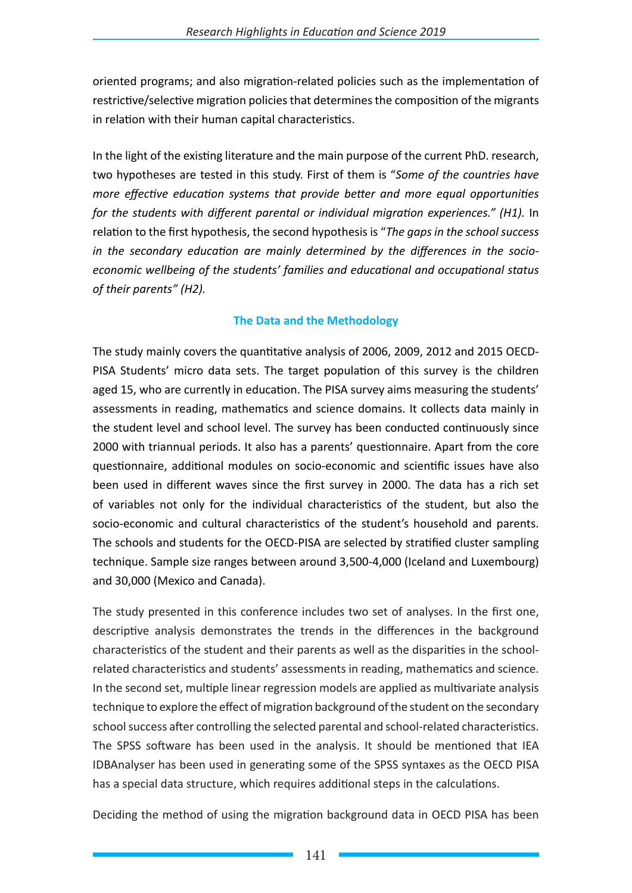#### **SOR MINORITY INTO DEP SO ST**

 $\blacksquare$ oriented programs; and also migration-related policies such as the implementation of restrictive/selective migration policies that determines the composition of the migrants in relation with their human capital characteristics.

In the light of the existing literature and the main purpose of the current PhD. research, two hypotheses are tested in this study. First of them is "Some of the countries have  $u \times w \times v \times 7$  7 **Notation** 

## p **NEAF DEA** ((CENE AFFIC UP E

燃入 In relation to the first hypothesis, the second hypothesis is "The gaps in the school success  $\nabla$  Δ  $\nabla$   $\mathbb{R}$   $\mathbb{R}$   $\mathbb{R}$   $\mathbb{R}$   $\mathbb{R}$   $\mathbb{R}$   $\mathbb{R}$ 

**((OE) & JULAOVPYSMLUDVMO** 

## **VEGALERYSK**

# **dZğwDWDPC**

dZ @vo@Exdvo@b D Tv n Kryon LUKYZ BRAG & ZHAB ZOOP D'ALGORNAZIE EN P **を商品い少 12日 日子のある みんてき** šivo@Z říšáv Zo oàXIZ řEv vš **VEER LA REEL CHEW DE** SHOLES UNIVE \$0 UPO-V PVUIV **VELAVM(CAS(REX** dZZAKKATV BO (好VAZ B 前30 函格 Nyulv proEZ NEZ 前6 ZNO V OMSZZO V ROSZEK MELC **STEER P ZV MOORE SULFU @VVLLLLWDIGX CHAVOLAS VORV ZBLALOC** uy sty **t** (Gy to put 3 **MSV KROGO ÁO .Z KROG Z KATOLS MEDEV \$VEU B \$V XV 8 VUOROVENEO ZHATONOC** DOA VERBETS UP BETP DET Z **BY YOR ANGIOVP BISO**V **Mrded AV Year N ZORS MUV\$3/VOOHPV@PU{3** WOW/KO **MADAX**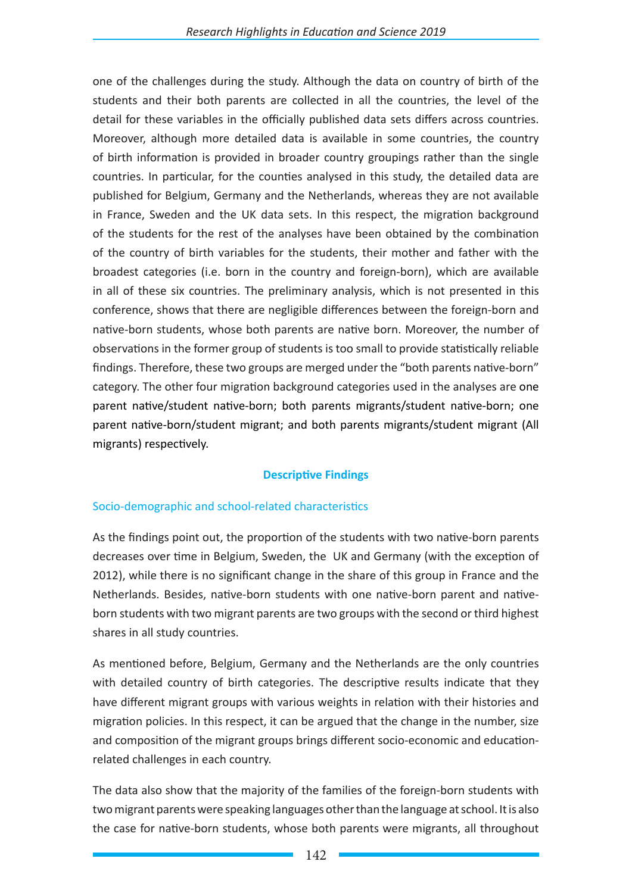Deciding the method of using the migration background data in OECD PISA has beenone of the challenges during the study. Although the data on country of birth of the students and their both parents are collected in all the countries, the level of the detail for these variables in the officially published data sets differs across countries. Moreover, although more detailed data are available in some countries, the country of birth information is provided in broader country groupings rather than the single countries. In particular, for the counties analysed in this study, the detailed data are published for Belgium, Germany and the Netherlands, whereas they are not available in France, Sweden and the UK data sets. In this respect, the migration background of the students for the rest of the analyses has been obtained by the combination of the country of birth variables for the students, their mothers and fathers with the broadest categories (i.e. born in the country and foreign-born), which are available in all of these six countries. The preliminary analysis results, which is not presented in this conference, shows that there are negligible differences between the foreign-born and native-born students, whose both parents are native-born. Moreover, the number of observations in the former group of students is too small to provide statistically reliable findings. Therefore, these two groups are merged under the "both parents native-born" category. The other four migration background categories used in the analyses are one parent native/student native-born; both parents migrants/student native-born; one parent native-born/student migrant; and both parents migrants/student migrant (All migrants) respectively.

## **Descriptive Findings**

## Socio-demographic and school-related characteristics

As the findings point out, the proportion of the students with two native-born parents decreased over time in Belgium, Sweden, the UK and Germany (with the exception of 2012 in the latter country), while there is no significant change in the share of this group in France and the Netherlands. Besides, native-born students with one nativeborn parent and native-born students with two migrant parents are two groups with the second or third highest shares in all study countries.

As mentioned above, Belgium, Germany and the Netherlands are the only selected countries with detailed country of birth categories. The descriptive results indicate that they have different migrant groups with various weights in relation with their histories and migration policies. In this respect, it can be argued that the changes in the number, size and composition of the migrant groups bring different socioeconomic and education-related challenges in each country.

The data also show that the majority of the families of the foreign-born students with two migrant parents were speaking languages other than the language at school. It is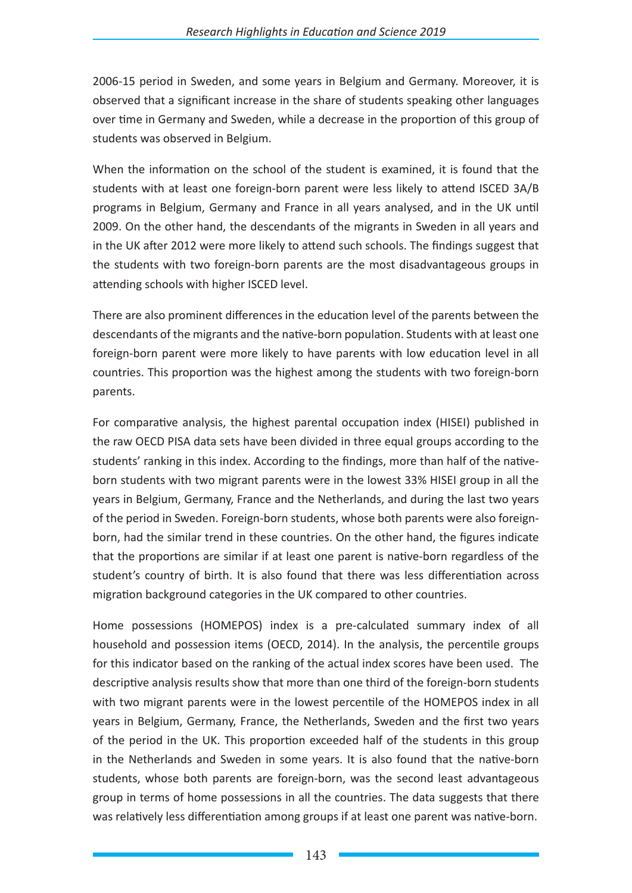also the case for native-born students, whose both parents were migrants, all throughout2006-15 period in Sweden, and some years in Belgium and Germany. Moreover, it is observed that a significant increase in the share of students speaking other languages over time in Germany and Sweden, while a decrease in the proportion of this group of students was observed in Belgium.

When the information on the school of the student is examined, it is found that the students with at least one foreign-born parent were less likely to attend ISCED 3A/B programs in Belgium, Germany and France in all years analysed, and in the UK until 2009. On the other hand, the descendants of the migrants in Sweden all over the period and in the UK after 2012 were more likely to attend such schools. The findings suggest that the students with two foreign-born parents are the most disadvantageous groups in attending schools with higher ISCED level.

There are also prominent differences in the education level of the parents between the descendants of the migrants and the native-born population. Students with at least one foreign-born parent were more likely to have parents with low education attainment level (ISCED 0-2) in all countries. This proportion was the highest among the students with two foreign-born parents.

For comparative analysis, the highest parental occupation index (HISEI), which is published in the raw OECD PISA data sets, have been divided in three equal groups according to the students' ranking in this index. Findings show that more than half of the native-born students with two migrant parents were in the lowest 33% HISEI group in all the years in Belgium, Germany, France and the Netherlands, and during the last two years of the period in Sweden. Foreign-born students, whose both parents were also foreign-born, had the similar trend in these countries. On the other hand, the figures indicate that the proportions are similar across students if at least one parent is native-born regardless of the student's country of birth. It is also found that there was less differentiation across migration background categories in the UK relative to other countries.

Home possessions (HOMEPOS) index is a pre-calculated summary index of all household and possession items (OECD, 2014). In the analysis, the percentile groups for this indicator based on the ranking of the actual index scores have been used. The descriptive analysis results show that more than one third of the foreign-born students with two migrant parents were in the lowest percentile of the HOMEPOS index in all years in Belgium, Germany, France, the Netherlands, Sweden, and the first two years of the period in the UK. This proportion exceeded half of the students in this category in the Netherlands and Sweden in some years. It is also found that the native-born students, whose both parents were foreign-born, was the second least advantageous group in terms of home possessions in all selected countries.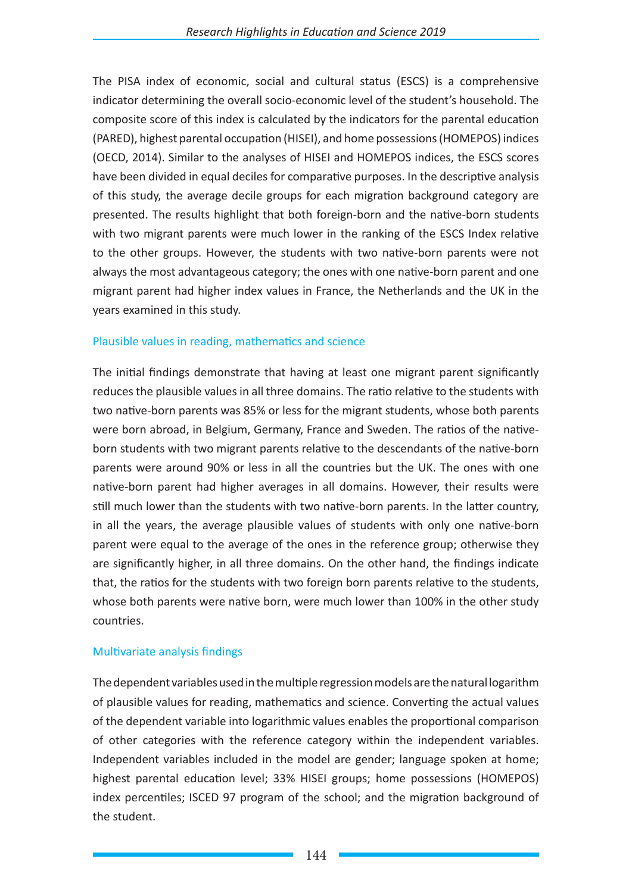The PISA index of economic, social and cultural status (ESCS) is a comprehensive indicator determining the overall socio-economic level of the student's household. The composite score of this index is calculated by the indicators for the highest parental education level, the International Socio-Economic Index of Occupational Status (ISEI), the PISA index of family wealth; the PISA index of home educational resources; and the PISA index of possessions related to "classical" culture in the family home (OECD Glossary). Similar to the analyses of HISEI and HOMEPOS indices, the ESCS scores have been divided in equal deciles for comparative purposes. In the descriptive analysis of this study, the average decile groups for each migration background category are presented. The results highlight that both foreign-born and the native-born students with two migrant parents had much lower positions in the ranking of the ESCS Index relative to the other groups. However, the students with two native-born parents were not always the most advantageous category; the ones with one native-born parent and one migrant parent had higher index values in France, the Netherlands and the UK in the years examined in this study.

### Plausible values in reading, mathematics and science

The initial findings demonstrate that having at least one migrant parent significantly reduces the plausible values in all three domains. The ratio relative to the students with two native-born parents was 85% or less for the migrant students, whose both parents were born abroad, in Belgium, Germany, France and Sweden. The ratios of the native-born students with two migrant parents relative to the descendants of the native-born parents were around 90% or less in all the countries but the UK. The ones with one native-born parent had higher averages than the former group of students in all domains. However, their results were still much lower than the students with two native-born parents. In the UK, in all the years, the average plausible values of students with only one native-born parent were equal to the average of the ones in the reference group; otherwise they were significantly higher, in all three domains. On the other hand, the findings indicate that the ratios for the students with two foreign born parents relative to the students, whose both parents were native born, were much lower than 100% in the other study countries.

### Multivariate analysis findings

The dependent variables used in the multiple regression models are the natural logarithm of plausible values for reading, mathematics and science. Converting the actual values of the dependent variable into logarithmic values enables the proportional comparison of other categories with the reference category within the independent variables.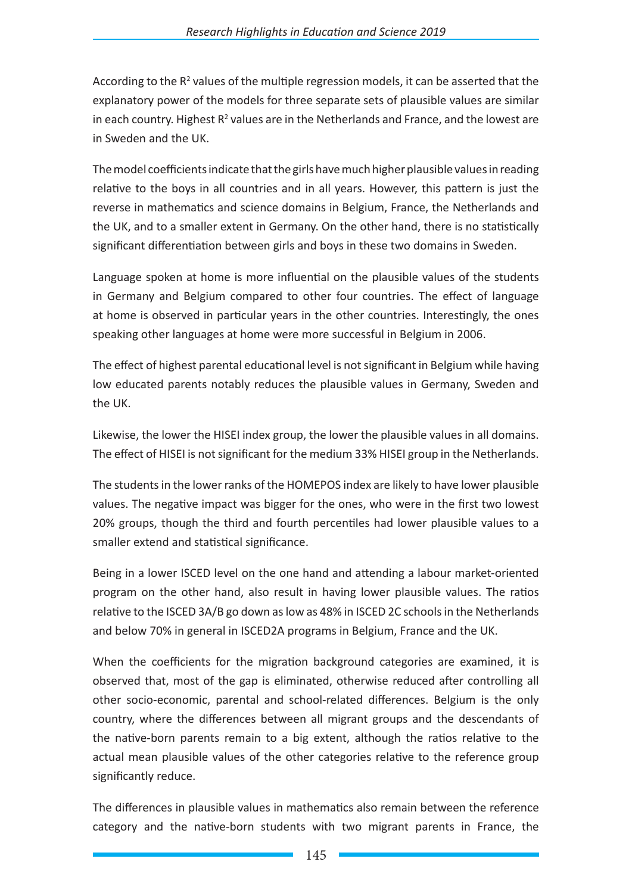Independent variables included in the model are gender; language spoken at home; highest parental education level; 33% HISEI groups; home possessions (HOMEPOS) index percentiles; ISCED 97 program of the school (see UNESCO-UIS, 2006); and the migration background of the student.

According to the  $R<sup>2</sup>$  values of the multiple regression models, it can be asserted that the explanatory power of the models for three separate sets of plausible values are similar in each country. Highest  $R^2$  values are for the Netherlands and France, and the lowest are found for Sweden and the UK.

The model coefficients indicate that the girls have much higher plausible values in reading relative to the boys in all countries and in all years. However, this pattern is just the reverse in mathematics and science domains in Belgium, France, the Netherlands and the UK, and to a smaller extent in Germany. On the other hand, there is no statistically significant differentiation between girls and boys in these two domains in Sweden.

Language spoken at home is more influential on the plausible values of the students in Germany and Belgium compared to other four countries. The effect of language at home is observed in particular years in the other countries. Interestingly, the ones speaking other languages at home were more successful in Belgium in 2006. The effect of highest parental educational level is not significant in Belgium while having parents with low educational attainment notably reduces the plausible values in Germany, Sweden and the UK. Likewise, the lower the HISEI index group, the lower the plausible values in all domains. The effect of HISEI is not significant for the medium 33% HISEI group in the Netherlands. The students in the lower ranks of the HOMEPOS index are likely to have lower plausible values. The negative impact was bigger for the ones, who were in the first two lowest 20% groups, though the third and fourth percentiles had lower plausible values to a smaller extend and statistical significance. Being in a lower ISCED level on the one hand and attending a labour market-oriented program on the other hand, result in having lower plausible values. The ratios relative to the ISCED 3A/B is as low as 48% in ISCED 2C schools in the Netherlands and it is below 70% in general in ISCED2A programs in Belgium, France and the UK.

When the coefficients for the migration background categories are examined, it is observed that, most of the gap is eliminated, otherwise reduced after controlling all other socio-economic, parental and school-related differences. Belgium is the only country, where the differences between all migrant groups and the descendants of the native-born parents remain to a big extent, although the disparities found in the actual plausible values between other categories and the reference group significantly reduce in the multiple regression models.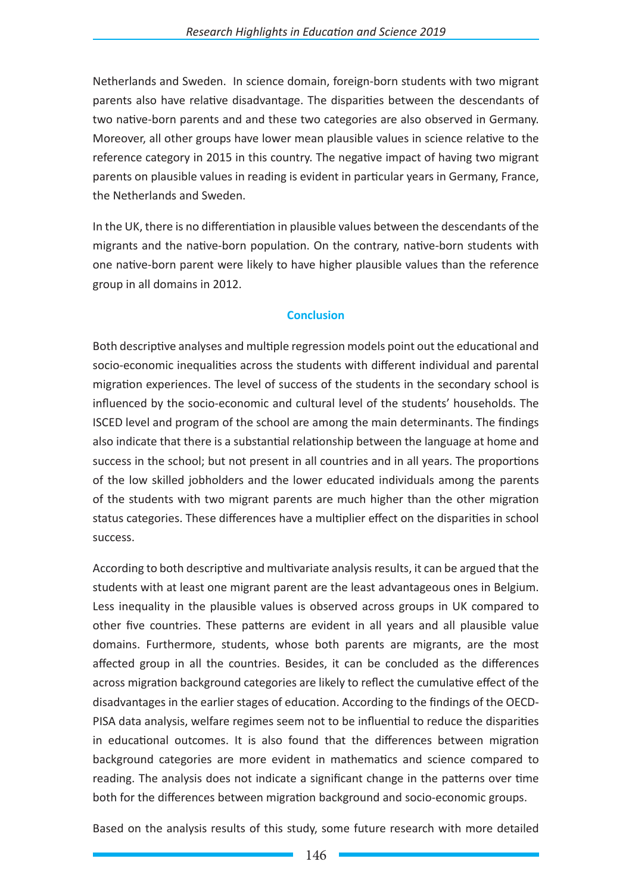The differences in plausible values in mathematics also remain between the reference category and the native-born students with two migrant parents in France, the Netherlands and Sweden. In science domain, foreign-born students with two migrant parents also have relative disadvantage. The disparities between the descendants of two native-born parents and these two categories are also observed in Germany. Moreover, all other groups had lower mean plausible values in science relative to the reference category in 2015 in this country. The negative impact of having two migrant parents on plausible values in reading is evident in particular years in Germany, France, the Netherlands and Sweden. In the UK, there is no differentiation in plausible values between the descendants of the migrants and the native-born population. On the contrary, native-born students with one native-born parent were likely to have higher plausible values than the reference group in all domains in 2012.

### **Conclusion**

Both descriptive analyses and multiple regression models point out the educational and socio-economic inequalities across the students with different individual and parental migration experiences. The level of success of the students in the secondary school is influenced by the socio-economic and cultural levels of the students' households. The ISCED level and program of the school are among the main determinants. The findings also indicate that there is a relationship between the language at home and success in the school; but not present in all countries and in all years. The proportions of the low skilled jobholders and the less educated individuals among the parents of the students with two migrant parents are much higher than the ones in other migration status categories. These differences have a multiplier effect on the disparities in school success.

According to both descriptive and multivariate analysis results, it can be argued that the students with at least one migrant parent are the least advantageous ones in Belgium. Less inequality in the plausible values is observed across groups in the UK relative to other five countries. These patterns are evident in all years and all plausible value domains. Furthermore, students, whose both parents are migrants, is the most affected group in all the countries. Besides, it can be concluded as the differences across migration background categories are likely to reflect the cumulative effect of the disadvantages in the earlier stages of education. According to the findings of the OECD-PISA data analysis, welfare regimes seem not to be influential to reduce the disparities in educational outcomes. It is also found that the differences between migration background categories are more remarkable in mathematics and science compared to reading. The results do not indicate a significant change in the patterns over time both for the differences between migration background and socio-economic groups.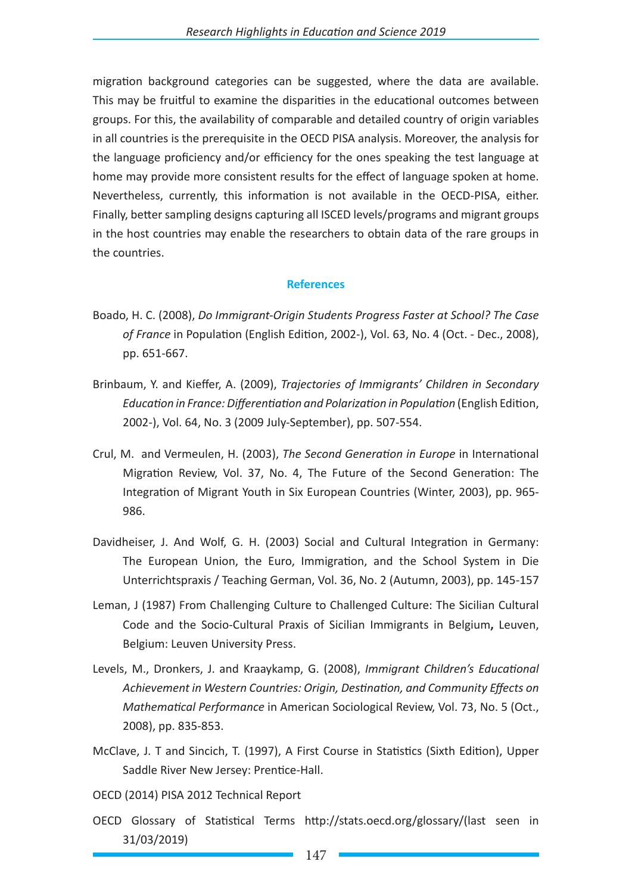Based on the analysis results, some future research with more detailed migration background categories can be suggested. This may be fruitful to examine the disparities in the educational outcomes between groups. For this, the availability of comparable and detailed country of origin variables in all countries is the prerequisite in the OECD PISA analysis. Moreover, the analysis for the language proficiency and/or efficiency for the ones speaking the test language at home may provide more consistent results for the effect of language spoken at home. Nevertheless, currently, this information is not available in the OECD-PISA, either. Finally, better sampling designs capturing all ISCED levels/programs and migrant groups in the host countries may enable the researchers to obtain data of the rare groups in the countries.

#### **References**

- Boado, H. C. (2008), *Do Immigrant-Origin Students Progress Faster at School? The Case of France* in Population (English Edition, 2002-), Vol. 63, No. 4 (Oct. - Dec., 2008), pp. 651-667.
- Brinbaum, Y. and Kieffer, A. (2009), *Trajectories of Immigrants' Children in Secondary Education in France: Differentiation and Polarization in Population* (English Edition, 2002-), Vol. 64, No. 3 (2009 July-September), pp. 507-554.
- Crul, M. and Vermeulen, H. (2003), *The Second Generation in Europe* in International Migration Review, Vol. 37, No. 4, The Future of the Second Generation: The Integration of Migrant Youth in Six European Countries (Winter, 2003), pp. 965- 986.
- Davidheiser, J. And Wolf, G. H. (2003) Social and Cultural Integration in Germany: The European Union, the Euro, Immigration, and the School System in Die Unterrichtspraxis / Teaching German, Vol. 36, No. 2 (Autumn, 2003), pp. 145-157
- Leman, J (1987) From Challenging Culture to Challenged Culture: The Sicilian Cultural Code and the Socio-Cultural Praxis of Sicilian Immigrants in Belgium**,** Leuven, Belgium: Leuven University Press.
- Levels, M., Dronkers, J. and Kraaykamp, G. (2008), *Immigrant Children's Educational Achievement in Western Countries: Origin, Destination, and Community Effects on Mathematical Performance* in American Sociological Review, Vol. 73, No. 5 (Oct., 2008), pp. 835-853.
- McClave, J. T and Sincich, T. (1997), A First Course in Statistics (Sixth Edition), Upper Saddle River New Jersey: Prentice-Hall.
- OECD (2014) PISA 2012 Technical Report
- OECD Glossary of Statistical Terms http://stats.oecd.org/glossary/(last seen in 31/03/2019)